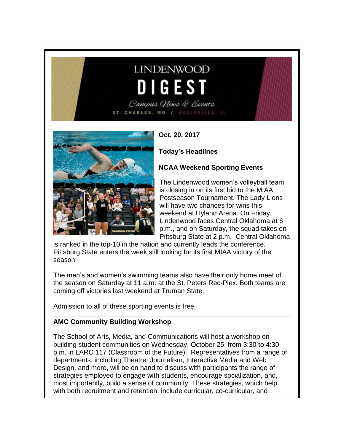# **LINDENWOOD** DIGEST

Campus News & Events ST. CHARLES, MO / BELLEVILLE, IL



**Oct. 20, 2017**

**Today's Headlines**

### **NCAA Weekend Sporting Events**

The Lindenwood women's volleyball team is closing in on its first bid to the MIAA Postseason Tournament. The Lady Lions will have two chances for wins this weekend at Hyland Arena. On Friday, Lindenwood faces Central Oklahoma at 6 p.m., and on Saturday, the squad takes on Pittsburg State at 2 p.m. Central Oklahoma

is ranked in the top-10 in the nation and currently leads the conference. Pittsburg State enters the week still looking for its first MIAA victory of the season.

The men's and women's swimming teams also have their only home meet of the season on Saturday at 11 a.m. at the St. Peters Rec-Plex. Both teams are coming off victories last weekend at Truman State.

Admission to all of these sporting events is free.

#### **AMC Community Building Workshop**

The School of Arts, Media, and Communications will host a workshop on building student communities on Wednesday, October 25, from 3:30 to 4:30 p.m. in LARC 117 (Classroom of the Future). Representatives from a range of departments, including Theatre, Journalism, Interactive Media and Web Design, and more, will be on hand to discuss with participants the range of strategies employed to engage with students, encourage socialization, and, most importantly, build a sense of community. These strategies, which help with both recruitment and retention, include curricular, co-curricular, and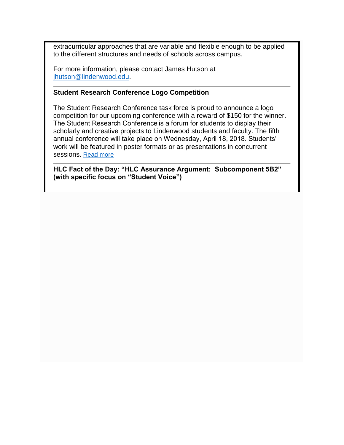extracurricular approaches that are variable and flexible enough to be applied to the different structures and needs of schools across campus.

For more information, please contact James Hutson at [jhutson@lindenwood.edu.](mailto:jhutson@lindenwood.edu)

#### **Student Research Conference Logo Competition**

The Student Research Conference task force is proud to announce a logo competition for our upcoming conference with a reward of \$150 for the winner. The Student Research Conference is a forum for students to display their scholarly and creative projects to Lindenwood students and faculty. The fifth annual conference will take place on Wednesday, April 18, 2018. Students' work will be featured in poster formats or as presentations in concurrent sessions. [Read more](http://felix.lindenwood.edu/newsletter/2017_10/logocompetition.pdf)

**HLC Fact of the Day: "HLC Assurance Argument: Subcomponent 5B2" (with specific focus on "Student Voice")**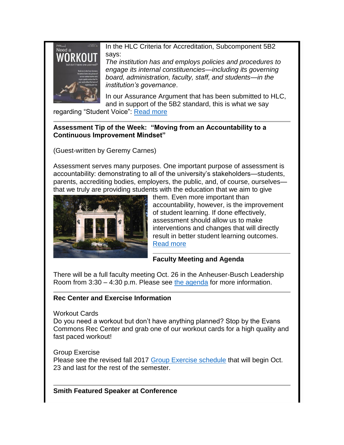Need a

In the HLC Criteria for Accreditation, Subcomponent 5B2 says:

*The institution has and employs policies and procedures to engage its internal constituencies—including its governing board, administration, faculty, staff, and students—in the institution's governance*.

In our Assurance Argument that has been submitted to HLC, and in support of the 5B2 standard, this is what we say

regarding "Student Voice": [Read more](http://felix.lindenwood.edu/newsletter/2017_10/fact_oct20.pdf)

#### **Assessment Tip of the Week: "Moving from an Accountability to a Continuous Improvement Mindset"**

(Guest-written by Geremy Carnes)

Assessment serves many purposes. One important purpose of assessment is accountability: demonstrating to all of the university's stakeholders—students, parents, accrediting bodies, employers, the public, and, of course, ourselves that we truly are providing students with the education that we aim to give



them. Even more important than accountability, however, is the improvement of student learning. If done effectively, assessment should allow us to make interventions and changes that will directly result in better student learning outcomes. [Read more](http://felix.lindenwood.edu/newsletter/2017_10/tip_oct20.pdf)

## **Faculty Meeting and Agenda**

There will be a full faculty meeting Oct. 26 in the Anheuser-Busch Leadership Room from 3:30 – 4:30 p.m. Please see [the agenda](http://felix.lindenwood.edu/newsletter/2017_10/facultyagenda.pdf) for more information.

## **Rec Center and Exercise Information**

Workout Cards

Do you need a workout but don't have anything planned? Stop by the Evans Commons Rec Center and grab one of our workout cards for a high quality and fast paced workout!

Group Exercise

Please see the revised fall 2017 [Group Exercise schedule](http://felix.lindenwood.edu/newsletter/2017_10/exercise.jpg) that will begin Oct. 23 and last for the rest of the semester.

**Smith Featured Speaker at Conference**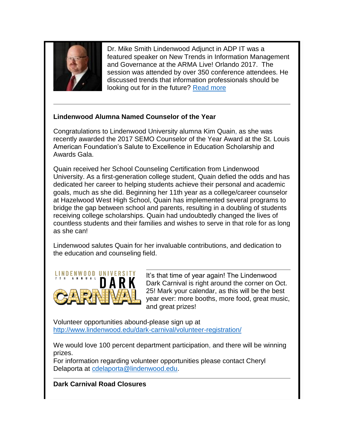

Dr. Mike Smith Lindenwood Adjunct in ADP IT was a featured speaker on New Trends in Information Management and Governance at the ARMA Live! Orlando 2017. The session was attended by over 350 conference attendees. He discussed trends that information professionals should be looking out for in the future? [Read more](http://felix.lindenwood.edu/newsletter/2017_10/smithspeaker.pdf)

#### **Lindenwood Alumna Named Counselor of the Year**

Congratulations to Lindenwood University alumna Kim Quain, as she was recently awarded the 2017 SEMO Counselor of the Year Award at the St. Louis American Foundation's Salute to Excellence in Education Scholarship and Awards Gala.

Quain received her School Counseling Certification from Lindenwood University. As a first-generation college student, Quain defied the odds and has dedicated her career to helping students achieve their personal and academic goals, much as she did. Beginning her 11th year as a college/career counselor at Hazelwood West High School, Quain has implemented several programs to bridge the gap between school and parents, resulting in a doubling of students receiving college scholarships. Quain had undoubtedly changed the lives of countless students and their families and wishes to serve in that role for as long as she can!

Lindenwood salutes Quain for her invaluable contributions, and dedication to the education and counseling field.



It's that time of year again! The Lindenwood Dark Carnival is right around the corner on Oct. 25! Mark your calendar, as this will be the best year ever: more booths, more food, great music, and great prizes!

Volunteer opportunities abound-please sign up at <http://www.lindenwood.edu/dark-carnival/volunteer-registration/>

We would love 100 percent department participation, and there will be winning prizes.

For information regarding volunteer opportunities please contact Cheryl Delaporta at [cdelaporta@lindenwood.edu.](mailto:cdelaporta@lindenwood.edu)

**Dark Carnival Road Closures**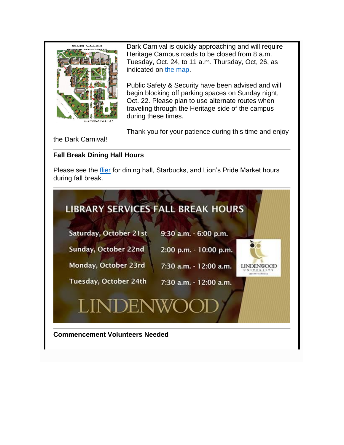

Dark Carnival is quickly approaching and will require Heritage Campus roads to be closed from 8 a.m. Tuesday, Oct. 24, to 11 a.m. Thursday, Oct, 26, as indicated on [the map.](http://felix.lindenwood.edu/newsletter/2017_10/darkcarnivalroadclosure.jpg)

Public Safety & Security have been advised and will begin blocking off parking spaces on Sunday night, Oct. 22. Please plan to use alternate routes when traveling through the Heritage side of the campus during these times.

Thank you for your patience during this time and enjoy

the Dark Carnival!

## **Fall Break Dining Hall Hours**

Please see the [flier](http://felix.lindenwood.edu/newsletter/2017_10/fallbreakhours2017.pdf) for dining hall, Starbucks, and Lion's Pride Market hours during fall break.

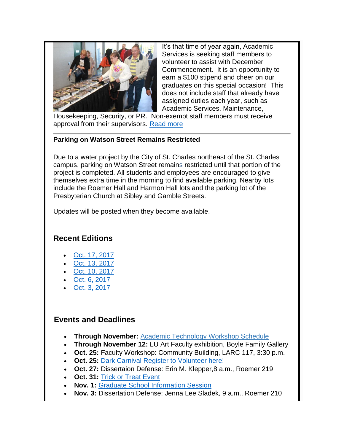

It's that time of year again, Academic Services is seeking staff members to volunteer to assist with December Commencement. It is an opportunity to earn a \$100 stipend and cheer on our graduates on this special occasion! This does not include staff that already have assigned duties each year, such as Academic Services, Maintenance,

Housekeeping, Security, or PR. Non-exempt staff members must receive approval from their supervisors. [Read more](http://felix.lindenwood.edu/newsletter/2017_10/commencementvolunteers.pdf)

#### **Parking on Watson Street Remains Restricted**

Due to a water project by the City of St. Charles northeast of the St. Charles campus, parking on Watson Street remains restricted until that portion of the project is completed. All students and employees are encouraged to give themselves extra time in the morning to find available parking. Nearby lots include the Roemer Hall and Harmon Hall lots and the parking lot of the Presbyterian Church at Sibley and Gamble Streets.

Updates will be posted when they become available.

## **Recent Editions**

- [Oct. 17, 2017](http://felix.lindenwood.edu/newsletter/digest/2017_10/2017_10_17.pdf)
- [Oct. 13, 2017](http://felix.lindenwood.edu/newsletter/digest/2017_10/2017_10_13.pdf)
- [Oct. 10, 2017](http://felix.lindenwood.edu/newsletter/digest/2017_10/2017_10_10.pdf)
- [Oct. 6, 2017](http://felix.lindenwood.edu/newsletter/digest/2017_10/2017_10_06.pdf)
- [Oct. 3, 2017](http://felix.lindenwood.edu/newsletter/digest/2017_10/2017_10_03.pdf)

## **Events and Deadlines**

- **Through November:** [Academic Technology Workshop Schedule](http://felix.lindenwood.edu/newsletter/2017_08/fall2017workshopcatalog.pdf)
- **Through November 12:** LU Art Faculty exhibition, Boyle Family Gallery
- **Oct. 25:** Faculty Workshop: Community Building, LARC 117, 3:30 p.m.
- **Oct. 25:** [Dark Carnival](http://www.lindenwood.edu/dark-carnival/) [Register to Volunteer here!](http://www.lindenwood.edu/dark-carnival/volunteer-registration/)
- **Oct. 27:** Dissertaion Defense: Erin M. Klepper,8 a.m., Roemer 219
- **Oct. 31: [Trick or Treat Event](http://www.lindenwood.edu/files/resources/trick-or-treat-flyer-final-attempt.pdf)**
- **Nov. 1:** [Graduate School Information Session](http://felix.lindenwood.edu/newsletter/2017_10/gradschool.pdf)
- **Nov. 3:** Dissertation Defense: Jenna Lee Sladek, 9 a.m., Roemer 210